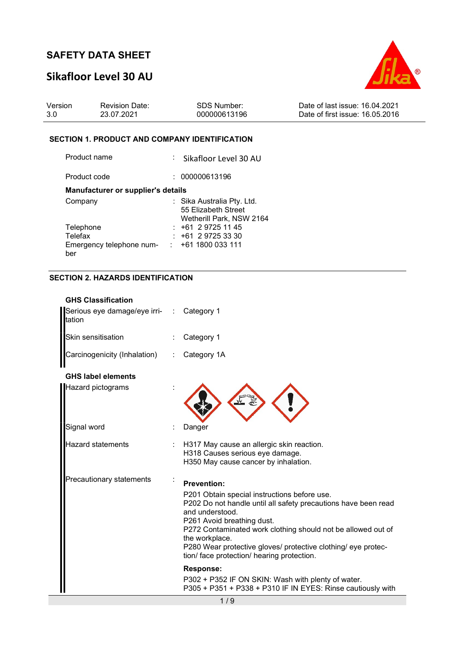# Sikafloor Level 30 AU



| Version | <b>Revision Date:</b> | <b>SDS Number:</b> | Date of last issue: 16.04.2021  |
|---------|-----------------------|--------------------|---------------------------------|
| 3.0     | 23.07.2021            | 000000613196       | Date of first issue: 16.05.2016 |

### SECTION 1. PRODUCT AND COMPANY IDENTIFICATION

| : Sikafloor Level 30 AU                           |
|---------------------------------------------------|
| 000000613196                                      |
| Manufacturer or supplier's details                |
| : Sika Australia Pty. Ltd.<br>55 Elizabeth Street |
| Wetherill Park, NSW 2164                          |
| $: +61297251145$                                  |
| +61 2 9725 33 30                                  |
| $: +611800033111$                                 |
|                                                   |

### SECTION 2. HAZARDS IDENTIFICATION

| <b>GHS Classification</b><br>Serious eye damage/eye irri-<br>ltation | Category 1                                                                                                                                                                                                                                                                                                                                                                             |
|----------------------------------------------------------------------|----------------------------------------------------------------------------------------------------------------------------------------------------------------------------------------------------------------------------------------------------------------------------------------------------------------------------------------------------------------------------------------|
| Skin sensitisation                                                   | Category 1                                                                                                                                                                                                                                                                                                                                                                             |
| Carcinogenicity (Inhalation)                                         | Category 1A                                                                                                                                                                                                                                                                                                                                                                            |
| <b>GHS label elements</b><br>Hazard pictograms                       |                                                                                                                                                                                                                                                                                                                                                                                        |
| Signal word                                                          | Danger                                                                                                                                                                                                                                                                                                                                                                                 |
| <b>Hazard statements</b>                                             | H317 May cause an allergic skin reaction.<br>H318 Causes serious eye damage.<br>H350 May cause cancer by inhalation.                                                                                                                                                                                                                                                                   |
| Precautionary statements                                             | <b>Prevention:</b><br>P201 Obtain special instructions before use.<br>P202 Do not handle until all safety precautions have been read<br>and understood.<br>P261 Avoid breathing dust.<br>P272 Contaminated work clothing should not be allowed out of<br>the workplace.<br>P280 Wear protective gloves/ protective clothing/ eye protec-<br>tion/ face protection/ hearing protection. |
|                                                                      | Response:<br>P302 + P352 IF ON SKIN: Wash with plenty of water.<br>P305 + P351 + P338 + P310 IF IN EYES: Rinse cautiously with                                                                                                                                                                                                                                                         |
|                                                                      | 1/9                                                                                                                                                                                                                                                                                                                                                                                    |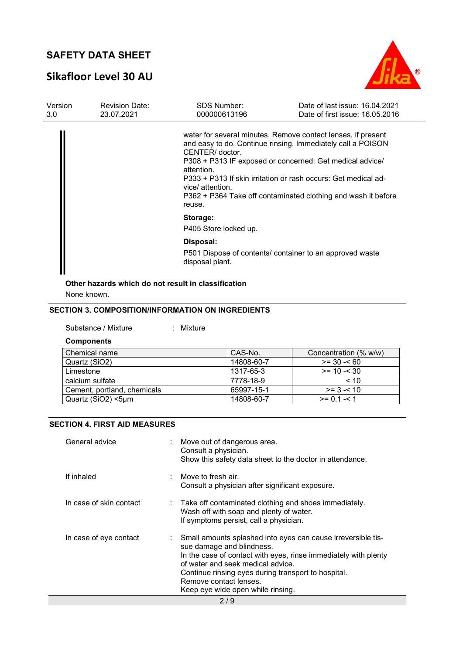# Sikafloor Level 30 AU



| Version          | <b>Revision Date:</b><br>23.07.2021 | <b>SDS Number:</b>                                          | Date of last issue: 16.04.2021                                                                                                                                                                                                                                                                                             |
|------------------|-------------------------------------|-------------------------------------------------------------|----------------------------------------------------------------------------------------------------------------------------------------------------------------------------------------------------------------------------------------------------------------------------------------------------------------------------|
| 3.0 <sub>2</sub> |                                     | 000000613196                                                | Date of first issue: 16.05.2016                                                                                                                                                                                                                                                                                            |
|                  |                                     | CENTER/ doctor.<br>attention.<br>vice/ attention.<br>reuse. | water for several minutes. Remove contact lenses, if present<br>and easy to do. Continue rinsing. Immediately call a POISON<br>P308 + P313 IF exposed or concerned: Get medical advice/<br>P333 + P313 If skin irritation or rash occurs: Get medical ad-<br>P362 + P364 Take off contaminated clothing and wash it before |
|                  |                                     | Storage:                                                    |                                                                                                                                                                                                                                                                                                                            |
|                  |                                     | P405 Store locked up.                                       |                                                                                                                                                                                                                                                                                                                            |
|                  |                                     | Disposal:                                                   |                                                                                                                                                                                                                                                                                                                            |
|                  |                                     | disposal plant.                                             | P501 Dispose of contents/ container to an approved waste                                                                                                                                                                                                                                                                   |
|                  |                                     |                                                             |                                                                                                                                                                                                                                                                                                                            |

Other hazards which do not result in classification

None known.

### SECTION 3. COMPOSITION/INFORMATION ON INGREDIENTS

Substance / Mixture : Mixture

#### Components

| Chemical name               | CAS-No.    | Concentration (% w/w) |
|-----------------------------|------------|-----------------------|
| Quartz (SiO2)               | 14808-60-7 | $>= 30 - 60$          |
| Limestone                   | 1317-65-3  | $>= 10 - 30$          |
| calcium sulfate             | 7778-18-9  | < 10                  |
| Cement, portland, chemicals | 65997-15-1 | $>= 3 - 10$           |
| Quartz (SiO2) <5um          | 14808-60-7 | $>= 0.1 - 1.1$        |

### SECTION 4. FIRST AID MEASURES

| General advice          | Move out of dangerous area.<br>Consult a physician.<br>Show this safety data sheet to the doctor in attendance.                                                                                                                                                                                                         |
|-------------------------|-------------------------------------------------------------------------------------------------------------------------------------------------------------------------------------------------------------------------------------------------------------------------------------------------------------------------|
| If inhaled              | : Move to fresh air.<br>Consult a physician after significant exposure.                                                                                                                                                                                                                                                 |
| In case of skin contact | $\therefore$ Take off contaminated clothing and shoes immediately.<br>Wash off with soap and plenty of water.<br>If symptoms persist, call a physician.                                                                                                                                                                 |
| In case of eye contact  | Small amounts splashed into eyes can cause irreversible tis-<br>sue damage and blindness.<br>In the case of contact with eyes, rinse immediately with plenty<br>of water and seek medical advice.<br>Continue rinsing eyes during transport to hospital.<br>Remove contact lenses.<br>Keep eye wide open while rinsing. |
|                         | 2/9                                                                                                                                                                                                                                                                                                                     |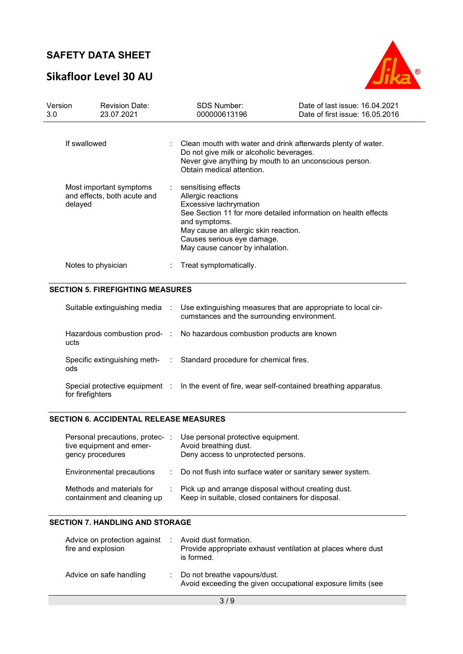# Sikafloor Level 30 AU



| Version<br>3.0                                                    | <b>Revision Date:</b><br>23.07.2021 | <b>SDS Number:</b><br>000000613196                                                                                                                                                              | Date of last issue: 16.04.2021<br>Date of first issue: 16.05.2016 |  |  |
|-------------------------------------------------------------------|-------------------------------------|-------------------------------------------------------------------------------------------------------------------------------------------------------------------------------------------------|-------------------------------------------------------------------|--|--|
| If swallowed                                                      |                                     | Clean mouth with water and drink afterwards plenty of water.<br>Do not give milk or alcoholic beverages.<br>Never give anything by mouth to an unconscious person.<br>Obtain medical attention. |                                                                   |  |  |
| Most important symptoms<br>and effects, both acute and<br>delayed |                                     | sensitising effects<br>Allergic reactions<br>Excessive lachrymation<br>and symptoms.<br>May cause an allergic skin reaction.<br>Causes serious eye damage.<br>May cause cancer by inhalation.   | See Section 11 for more detailed information on health effects    |  |  |
|                                                                   | Notes to physician                  | Treat symptomatically.                                                                                                                                                                          |                                                                   |  |  |

#### SECTION 5. FIREFIGHTING MEASURES

| Suitable extinguishing media                       | ÷.    | Use extinguishing measures that are appropriate to local cir-<br>cumstances and the surrounding environment. |
|----------------------------------------------------|-------|--------------------------------------------------------------------------------------------------------------|
| Hazardous combustion prod- :<br>ucts               |       | No hazardous combustion products are known                                                                   |
| Specific extinguishing meth-<br>ods                | di la | Standard procedure for chemical fires.                                                                       |
| Special protective equipment :<br>for firefighters |       | In the event of fire, wear self-contained breathing apparatus.                                               |

#### SECTION 6. ACCIDENTAL RELEASE MEASURES

| Personal precautions, protec-<br>tive equipment and emer-<br>gency procedures | Use personal protective equipment.<br>Avoid breathing dust.<br>Deny access to unprotected persons.         |
|-------------------------------------------------------------------------------|------------------------------------------------------------------------------------------------------------|
| Environmental precautions                                                     | : Do not flush into surface water or sanitary sewer system.                                                |
| Methods and materials for<br>containment and cleaning up                      | : Pick up and arrange disposal without creating dust.<br>Keep in suitable, closed containers for disposal. |

### SECTION 7. HANDLING AND STORAGE

| Advice on protection against<br>fire and explosion | Avoid dust formation.<br>Provide appropriate exhaust ventilation at places where dust<br>is formed. |
|----------------------------------------------------|-----------------------------------------------------------------------------------------------------|
| Advice on safe handling                            | : Do not breathe vapours/dust.<br>Avoid exceeding the given occupational exposure limits (see       |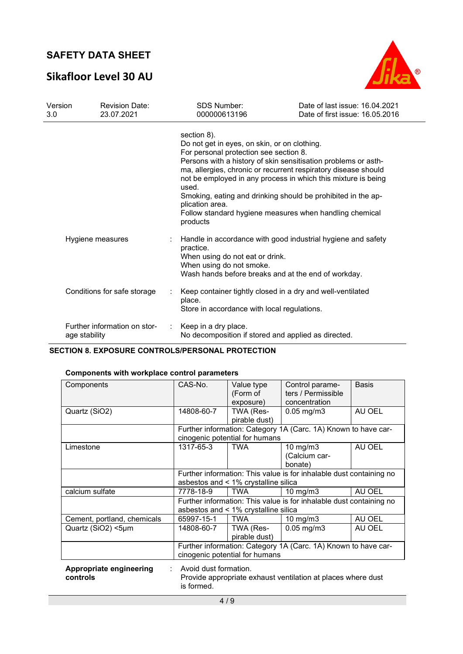# Sikafloor Level 30 AU



| Version<br>3.0 | <b>Revision Date:</b><br>23.07.2021           |   | <b>SDS Number:</b><br>000000613196                                                                                                                                                                                                                                                                                                                                                                                                                                            | Date of last issue: 16.04.2021<br>Date of first issue: 16.05.2016 |
|----------------|-----------------------------------------------|---|-------------------------------------------------------------------------------------------------------------------------------------------------------------------------------------------------------------------------------------------------------------------------------------------------------------------------------------------------------------------------------------------------------------------------------------------------------------------------------|-------------------------------------------------------------------|
|                |                                               |   | section 8).<br>Do not get in eyes, on skin, or on clothing.<br>For personal protection see section 8.<br>Persons with a history of skin sensitisation problems or asth-<br>ma, allergies, chronic or recurrent respiratory disease should<br>not be employed in any process in which this mixture is being<br>used.<br>Smoking, eating and drinking should be prohibited in the ap-<br>plication area.<br>Follow standard hygiene measures when handling chemical<br>products |                                                                   |
|                | Hygiene measures                              |   | Handle in accordance with good industrial hygiene and safety<br>practice.<br>When using do not eat or drink.<br>When using do not smoke.<br>Wash hands before breaks and at the end of workday.                                                                                                                                                                                                                                                                               |                                                                   |
|                | Conditions for safe storage                   |   | Keep container tightly closed in a dry and well-ventilated<br>place.<br>Store in accordance with local regulations.                                                                                                                                                                                                                                                                                                                                                           |                                                                   |
|                | Further information on stor-<br>age stability | ÷ | Keep in a dry place.<br>No decomposition if stored and applied as directed.                                                                                                                                                                                                                                                                                                                                                                                                   |                                                                   |

SECTION 8. EXPOSURE CONTROLS/PERSONAL PROTECTION

## Components with workplace control parameters

| Components                  | CAS-No.                                                                    | Value type                           | Control parame-                                                | <b>Basis</b> |
|-----------------------------|----------------------------------------------------------------------------|--------------------------------------|----------------------------------------------------------------|--------------|
|                             |                                                                            | (Form of                             | ters / Permissible                                             |              |
|                             |                                                                            | exposure)                            | concentration                                                  |              |
| Quartz (SiO2)               | 14808-60-7                                                                 | TWA (Res-                            | $0.05$ mg/m $3$                                                | AU OEL       |
|                             |                                                                            | pirable dust)                        |                                                                |              |
|                             |                                                                            |                                      | Further information: Category 1A (Carc. 1A) Known to have car- |              |
|                             |                                                                            | cinogenic potential for humans       |                                                                |              |
| Limestone                   | 1317-65-3                                                                  | <b>TWA</b>                           | 10 mg/m3                                                       | AU OEL       |
|                             |                                                                            |                                      | (Calcium car-                                                  |              |
|                             |                                                                            |                                      | bonate)                                                        |              |
|                             | Further information: This value is for inhalable dust containing no        |                                      |                                                                |              |
|                             |                                                                            | asbestos and < 1% crystalline silica |                                                                |              |
| calcium sulfate             | 7778-18-9                                                                  | TWA                                  | 10 mg/m3                                                       | AU OEL       |
|                             | Further information: This value is for inhalable dust containing no        |                                      |                                                                |              |
|                             |                                                                            | asbestos and < 1% crystalline silica |                                                                |              |
| Cement, portland, chemicals | 65997-15-1                                                                 | <b>TWA</b>                           | $10$ mg/m $3$                                                  | AU OEL       |
| Quartz (SiO2) <5µm          | 14808-60-7                                                                 | TWA (Res-                            | $0.05$ mg/m $3$                                                | AU OEL       |
|                             |                                                                            | pirable dust)                        |                                                                |              |
|                             |                                                                            |                                      | Further information: Category 1A (Carc. 1A) Known to have car- |              |
|                             |                                                                            | cinogenic potential for humans       |                                                                |              |
| Appropriate engineering     | Avoid dust formation.                                                      |                                      |                                                                |              |
| controls                    |                                                                            |                                      |                                                                |              |
|                             | Provide appropriate exhaust ventilation at places where dust<br>is formed. |                                      |                                                                |              |
|                             |                                                                            |                                      |                                                                |              |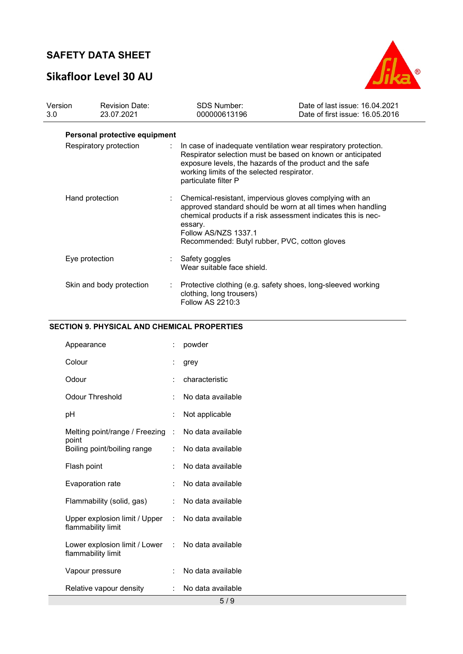# Sikafloor Level 30 AU



| Version<br>3.0 | <b>Revision Date:</b><br>23.07.2021 | <b>SDS Number:</b><br>000000613196                                               | Date of last issue: 16.04.2021<br>Date of first issue: 16.05.2016                                                                                                                        |
|----------------|-------------------------------------|----------------------------------------------------------------------------------|------------------------------------------------------------------------------------------------------------------------------------------------------------------------------------------|
|                | Personal protective equipment       |                                                                                  |                                                                                                                                                                                          |
|                | Respiratory protection              | working limits of the selected respirator.<br>particulate filter P               | In case of inadequate ventilation wear respiratory protection.<br>Respirator selection must be based on known or anticipated<br>exposure levels, the hazards of the product and the safe |
|                | Hand protection                     | essary.<br>Follow AS/NZS 1337.1<br>Recommended: Butyl rubber, PVC, cotton gloves | Chemical-resistant, impervious gloves complying with an<br>approved standard should be worn at all times when handling<br>chemical products if a risk assessment indicates this is nec-  |
|                | Eye protection                      | Safety goggles<br>Wear suitable face shield.                                     |                                                                                                                                                                                          |
|                | Skin and body protection            | clothing, long trousers)<br><b>Follow AS 2210:3</b>                              | Protective clothing (e.g. safety shoes, long-sleeved working                                                                                                                             |

### SECTION 9. PHYSICAL AND CHEMICAL PROPERTIES

| Appearance                                          |                      | powder                          |
|-----------------------------------------------------|----------------------|---------------------------------|
| Colour                                              |                      | grey                            |
| Odour                                               | $\ddot{\phantom{0}}$ | characteristic                  |
| <b>Odour Threshold</b>                              | $\ddot{\cdot}$       | No data available               |
| рH                                                  | ÷                    | Not applicable                  |
| Melting point/range / Freezing                      | $\ddot{\phantom{a}}$ | No data available               |
| point<br>Boiling point/boiling range                | $\ddot{\phantom{0}}$ | No data available               |
| Flash point                                         | t                    | No data available               |
| <b>Evaporation rate</b>                             | $\ddot{\cdot}$       | No data available               |
| Flammability (solid, gas)                           | ÷.                   | No data available               |
| Upper explosion limit / Upper<br>flammability limit | t.                   | No data available               |
| Lower explosion limit / Lower<br>flammability limit | ÷                    | No data available               |
| Vapour pressure                                     | $\ddot{\cdot}$       | No data available               |
| Relative vapour density                             |                      | No data available<br><b>FIQ</b> |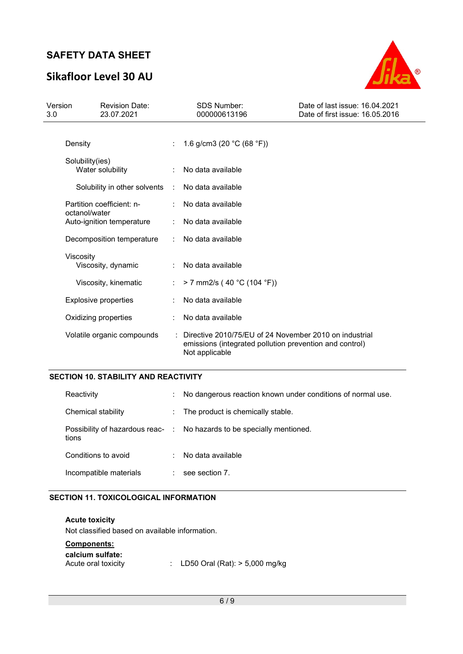# Sikafloor Level 30 AU



| Version<br>3.0                             |                           | <b>Revision Date:</b><br>23.07.2021 |                   | <b>SDS Number:</b><br>000000613196                                                                                                  | Date of last issue: 16.04.2021<br>Date of first issue: 16.05.2016 |
|--------------------------------------------|---------------------------|-------------------------------------|-------------------|-------------------------------------------------------------------------------------------------------------------------------------|-------------------------------------------------------------------|
|                                            | Density                   |                                     |                   | 1.6 g/cm3 (20 $°C$ (68 °F))                                                                                                         |                                                                   |
|                                            | Solubility(ies)           | Water solubility                    |                   | No data available                                                                                                                   |                                                                   |
|                                            |                           | Solubility in other solvents        | ÷                 | No data available                                                                                                                   |                                                                   |
|                                            | Partition coefficient: n- |                                     |                   | No data available                                                                                                                   |                                                                   |
| octanol/water<br>Auto-ignition temperature |                           |                                     | No data available |                                                                                                                                     |                                                                   |
|                                            | Decomposition temperature |                                     |                   | No data available                                                                                                                   |                                                                   |
|                                            | Viscosity                 | Viscosity, dynamic                  |                   | No data available                                                                                                                   |                                                                   |
|                                            |                           | Viscosity, kinematic                |                   | $> 7$ mm2/s (40 °C (104 °F))                                                                                                        |                                                                   |
|                                            |                           | <b>Explosive properties</b>         |                   | No data available                                                                                                                   |                                                                   |
|                                            |                           | Oxidizing properties                |                   | No data available                                                                                                                   |                                                                   |
|                                            |                           | Volatile organic compounds          |                   | Directive 2010/75/EU of 24 November 2010 on industrial<br>emissions (integrated pollution prevention and control)<br>Not applicable |                                                                   |

## SECTION 10. STABILITY AND REACTIVITY

| Reactivity             | t. | No dangerous reaction known under conditions of normal use.            |
|------------------------|----|------------------------------------------------------------------------|
| Chemical stability     |    | : The product is chemically stable.                                    |
| tions                  |    | Possibility of hazardous reac- : No hazards to be specially mentioned. |
| Conditions to avoid    |    | No data available                                                      |
| Incompatible materials |    | see section 7.                                                         |

### SECTION 11. TOXICOLOGICAL INFORMATION

Acute toxicity Not classified based on available information.

### Components:

| calcium sulfate:    |                                    |
|---------------------|------------------------------------|
| Acute oral toxicity | : LD50 Oral (Rat): $> 5,000$ mg/kg |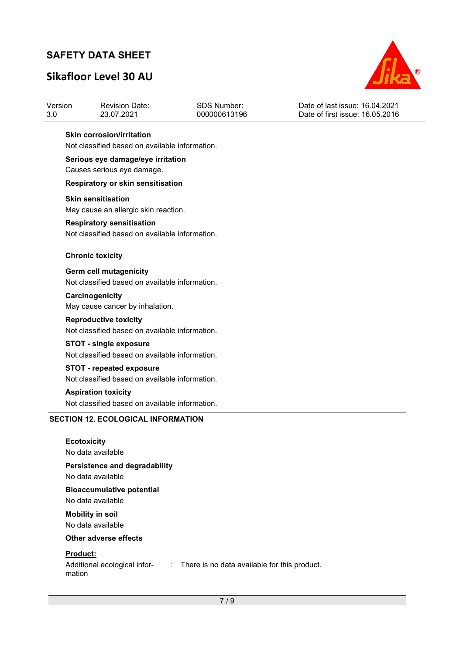# Sikafloor Level 30 AU



| Version | <b>Revision Date:</b> | SDS Number:  | Date of last issue: 16.04.2021  |
|---------|-----------------------|--------------|---------------------------------|
| -3.0    | 23.07.2021            | 000000613196 | Date of first issue: 16.05.2016 |

#### Skin corrosion/irritation

Not classified based on available information.

### Serious eye damage/eye irritation

Causes serious eye damage.

#### Respiratory or skin sensitisation

#### Skin sensitisation

May cause an allergic skin reaction.

#### Respiratory sensitisation

Not classified based on available information.

#### Chronic toxicity

Germ cell mutagenicity Not classified based on available information.

#### **Carcinogenicity**

May cause cancer by inhalation.

#### Reproductive toxicity

Not classified based on available information.

# STOT - single exposure

Not classified based on available information.

# STOT - repeated exposure

Not classified based on available information.

## Aspiration toxicity

Not classified based on available information.

### SECTION 12. ECOLOGICAL INFORMATION

### **Ecotoxicity** No data available

### Persistence and degradability

No data available

### Bioaccumulative potential No data available

Mobility in soil No data available

### Other adverse effects

### Product:

mation

Additional ecological infor-: There is no data available for this product.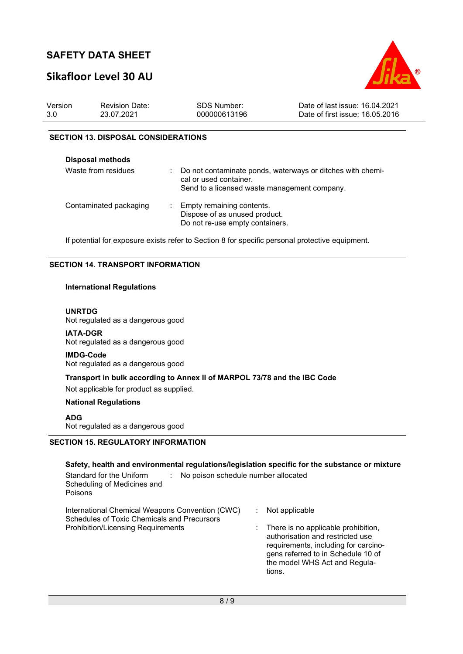# Sikafloor Level 30 AU



| Version | <b>Revision Date:</b> | SDS Number:  | Date of last issue: 16.04.2021  |
|---------|-----------------------|--------------|---------------------------------|
| 3.0     | 23.07.2021            | 000000613196 | Date of first issue: 16.05.2016 |

### SECTION 13. DISPOSAL CONSIDERATIONS

| <b>Disposal methods</b> |                                                                                                                                      |
|-------------------------|--------------------------------------------------------------------------------------------------------------------------------------|
| Waste from residues     | Do not contaminate ponds, waterways or ditches with chemi-<br>cal or used container.<br>Send to a licensed waste management company. |
| Contaminated packaging  | Empty remaining contents.<br>Dispose of as unused product.<br>Do not re-use empty containers.                                        |

If potential for exposure exists refer to Section 8 for specific personal protective equipment.

### SECTION 14. TRANSPORT INFORMATION

### International Regulations

#### UNRTDG

Not regulated as a dangerous good

IATA-DGR Not regulated as a dangerous good

#### IMDG-Code

Not regulated as a dangerous good

# Transport in bulk according to Annex II of MARPOL 73/78 and the IBC Code

Not applicable for product as supplied.

#### National Regulations

ADG

Not regulated as a dangerous good

### SECTION 15. REGULATORY INFORMATION

| Safety, health and environmental regulations/legislation specific for the substance or mixture<br>Standard for the Uniform<br>No poison schedule number allocated<br>Scheduling of Medicines and<br>Poisons |                                                                                                                                                                                                                    |
|-------------------------------------------------------------------------------------------------------------------------------------------------------------------------------------------------------------|--------------------------------------------------------------------------------------------------------------------------------------------------------------------------------------------------------------------|
| International Chemical Weapons Convention (CWC)<br>Schedules of Toxic Chemicals and Precursors<br><b>Prohibition/Licensing Requirements</b>                                                                 | Not applicable<br>There is no applicable prohibition,<br>authorisation and restricted use<br>requirements, including for carcino-<br>gens referred to in Schedule 10 of<br>the model WHS Act and Regula-<br>tions. |